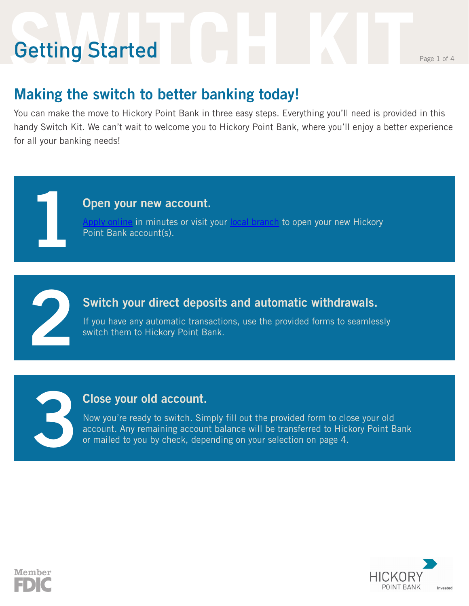# **Setting Started** Reserves the Page 1 of 4 Getting Started

**1**

**2**

**3**

#### **Making the switch to better banking today!**

You can make the move to Hickory Point Bank in three easy steps. Everything you'll need is provided in this handy Switch Kit. We can't wait to welcome you to Hickory Point Bank, where you'll enjoy a better experience for all your banking needs!

#### **Open your new account.**

[Apply online](https://accountcreate.fiservapps.com/app/ac_8373/App.aspx?AppID=31001) in minutes or visit your [local branch](https://www.hickorypointbank.com/local/location-hours/) to open your new Hickory Point Bank account(s).

#### **Switch your direct deposits and automatic withdrawals.**

If you have any automatic transactions, use the provided forms to seamlessly switch them to Hickory Point Bank.

#### **Close your old account.**

Now you're ready to switch. Simply fill out the provided form to close your old account. Any remaining account balance will be transferred to Hickory Point Bank or mailed to you by check, depending on your selection on page 4.



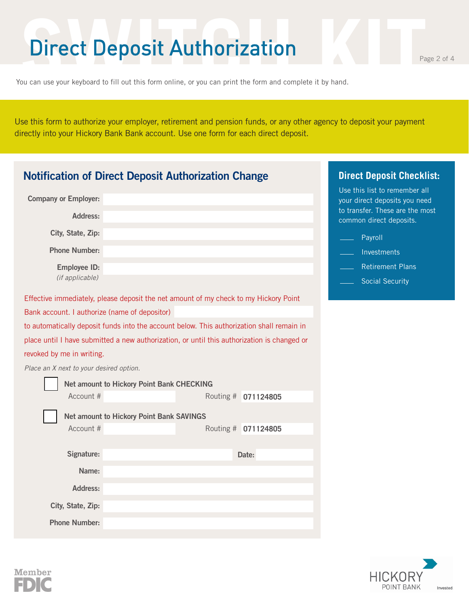### **Direct Deposit Authorization**

You can use your keyboard to fill out this form online, or you can print the form and complete it by hand.

Use this form to authorize your employer, retirement and pension funds, or any other agency to deposit your payment directly into your Hickory Bank Bank account. Use one form for each direct deposit.

| <b>Notification of Direct Deposit Authorization Change</b>                                  |                     | <b>Direct Deposit Checklist:</b>                               |
|---------------------------------------------------------------------------------------------|---------------------|----------------------------------------------------------------|
| <b>Company or Employer:</b>                                                                 |                     | Use this list to remember all<br>your direct deposits you need |
| Address:                                                                                    |                     | to transfer. These are the most<br>common direct deposits.     |
| City, State, Zip:                                                                           |                     | Payroll                                                        |
| <b>Phone Number:</b>                                                                        |                     | Investments                                                    |
| <b>Employee ID:</b>                                                                         |                     | <b>Retirement Plans</b>                                        |
| (if applicable)                                                                             |                     | <b>Social Security</b>                                         |
| Effective immediately, please deposit the net amount of my check to my Hickory Point        |                     |                                                                |
| Bank account. I authorize (name of depositor)                                               |                     |                                                                |
| to automatically deposit funds into the account below. This authorization shall remain in   |                     |                                                                |
| place until I have submitted a new authorization, or until this authorization is changed or |                     |                                                                |
| revoked by me in writing.                                                                   |                     |                                                                |
| Place an X next to your desired option.                                                     |                     |                                                                |
| <b>Net amount to Hickory Point Bank CHECKING</b>                                            |                     |                                                                |
| Account #                                                                                   | Routing # 071124805 |                                                                |
| <b>Net amount to Hickory Point Bank SAVINGS</b>                                             |                     |                                                                |
| Account #                                                                                   | Routing # 071124805 |                                                                |
|                                                                                             |                     |                                                                |
| Signature:                                                                                  | Date:               |                                                                |
| Name:                                                                                       |                     |                                                                |
| Address:                                                                                    |                     |                                                                |
| City, State, Zip:                                                                           |                     |                                                                |
| <b>Phone Number:</b>                                                                        |                     |                                                                |



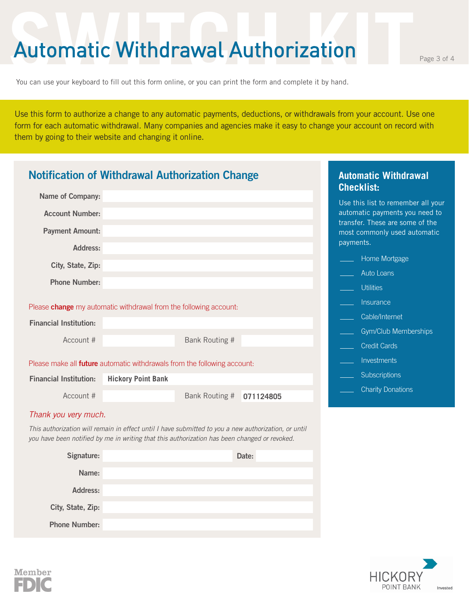### Automatic Withdrawal Authorization Page 3 of 4

You can use your keyboard to fill out this form online, or you can print the form and complete it by hand.

Use this form to authorize a change to any automatic payments, deductions, or withdrawals from your account. Use one form for each automatic withdrawal. Many companies and agencies make it easy to change your account on record with them by going to their website and changing it online.

| <b>Notification of Withdrawal Authorization Change</b>                                                                                                                                               |                           |                |           | <b>Automatic Withdrawal</b><br><b>Checklist:</b>                             |
|------------------------------------------------------------------------------------------------------------------------------------------------------------------------------------------------------|---------------------------|----------------|-----------|------------------------------------------------------------------------------|
| Name of Company:                                                                                                                                                                                     |                           |                |           | Use this list to remember all your                                           |
| <b>Account Number:</b>                                                                                                                                                                               |                           |                |           | automatic payments you need to                                               |
| <b>Payment Amount:</b>                                                                                                                                                                               |                           |                |           | transfer. These are some of the<br>most commonly used automatic<br>payments. |
| <b>Address:</b>                                                                                                                                                                                      |                           |                |           |                                                                              |
| City, State, Zip:                                                                                                                                                                                    |                           |                |           | Home Mortgage                                                                |
| <b>Phone Number:</b>                                                                                                                                                                                 |                           |                |           | Auto Loans                                                                   |
|                                                                                                                                                                                                      |                           |                |           | <b>Utilities</b>                                                             |
| Please <b>change</b> my automatic withdrawal from the following account:                                                                                                                             |                           |                |           | Insurance                                                                    |
| <b>Financial Institution:</b>                                                                                                                                                                        |                           |                |           | Cable/Internet                                                               |
| Account #                                                                                                                                                                                            |                           |                |           | Gym/Club Memberships                                                         |
|                                                                                                                                                                                                      |                           | Bank Routing # |           | <b>Credit Cards</b>                                                          |
| Please make all <b>future</b> automatic withdrawals from the following account:                                                                                                                      |                           |                |           | Investments                                                                  |
| <b>Financial Institution:</b>                                                                                                                                                                        | <b>Hickory Point Bank</b> |                |           | Subscriptions                                                                |
| Account #                                                                                                                                                                                            |                           | Bank Routing # | 071124805 | <b>Charity Donations</b>                                                     |
| Thank you very much.                                                                                                                                                                                 |                           |                |           |                                                                              |
| This authorization will remain in effect until I have submitted to you a new authorization, or until<br>you have been notified by me in writing that this authorization has been changed or revoked. |                           |                |           |                                                                              |
| Signature:                                                                                                                                                                                           |                           |                | Date:     |                                                                              |
| Name:                                                                                                                                                                                                |                           |                |           |                                                                              |
| Address:                                                                                                                                                                                             |                           |                |           |                                                                              |
| City, State, Zip:                                                                                                                                                                                    |                           |                |           |                                                                              |
| <b>Phone Number:</b>                                                                                                                                                                                 |                           |                |           |                                                                              |



Member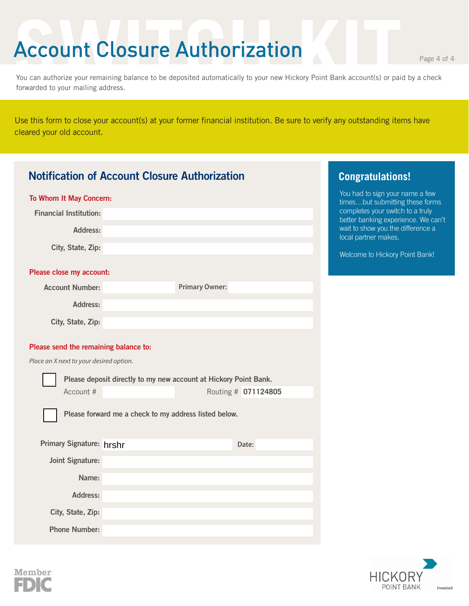### Account Closure Authorization

**HICKORY** POINT BANK

Invested.

You can authorize your remaining balance to be deposited automatically to your new Hickory Point Bank account(s) or paid by a check forwarded to your mailing address.

Use this form to close your account(s) at your former financial institution. Be sure to verify any outstanding items have cleared your old account.

|                                         | <b>Notification of Account Closure Authorization</b>               | <b>Congratulations!</b>                                                 |
|-----------------------------------------|--------------------------------------------------------------------|-------------------------------------------------------------------------|
| To Whom It May Concern:                 | You had to sign your name a few<br>timesbut submitting these forms |                                                                         |
| <b>Financial Institution:</b>           |                                                                    | completes your switch to a truly<br>better banking experience. We can't |
| Address:                                |                                                                    | wait to show you the difference a<br>local partner makes.               |
| City, State, Zip:                       |                                                                    | Welcome to Hickory Point Bank!                                          |
| Please close my account:                |                                                                    |                                                                         |
| <b>Account Number:</b>                  | <b>Primary Owner:</b>                                              |                                                                         |
| <b>Address:</b>                         |                                                                    |                                                                         |
| City, State, Zip:                       |                                                                    |                                                                         |
| Please send the remaining balance to:   |                                                                    |                                                                         |
| Place an X next to your desired option. |                                                                    |                                                                         |
|                                         | Please deposit directly to my new account at Hickory Point Bank.   |                                                                         |
| Account #                               | Routing # 071124805                                                |                                                                         |
|                                         | Please forward me a check to my address listed below.              |                                                                         |
|                                         |                                                                    |                                                                         |
| Primary Signature: hrshr                | Date:                                                              |                                                                         |
| <b>Joint Signature:</b>                 |                                                                    |                                                                         |
| Name:                                   |                                                                    |                                                                         |
| Address:                                |                                                                    |                                                                         |
| City, State, Zip:                       |                                                                    |                                                                         |
| <b>Phone Number:</b>                    |                                                                    |                                                                         |